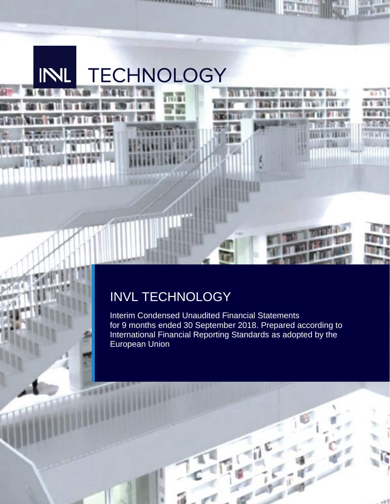

# INVL TECHNOLOGY

Interim Condensed Unaudited Financial Statements for 9 months ended 30 September 2018. Prepared according to International Financial Reporting Standards as adopted by the European Union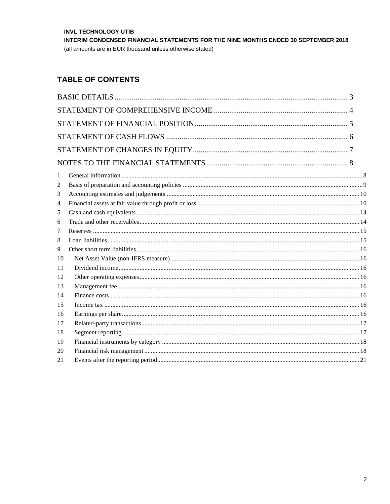# **TABLE OF CONTENTS**

| 1              |  |
|----------------|--|
| 2              |  |
| 3              |  |
| $\overline{4}$ |  |
| 5              |  |
| 6              |  |
| 7              |  |
| 8              |  |
| 9              |  |
| 10             |  |
| 11             |  |
| 12             |  |
| 13             |  |
| 14             |  |
| 15             |  |
| 16             |  |
| 17             |  |
| 18             |  |
| 19             |  |
| 20             |  |
| 21             |  |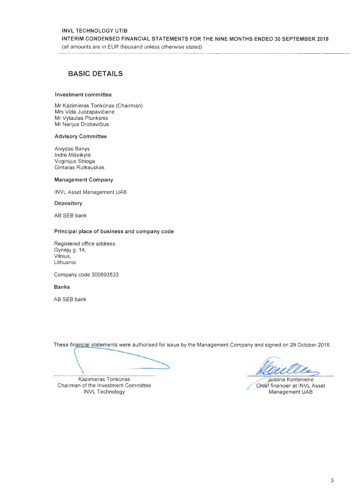### **INVL TECHNOLOGY UTIB** INTERIM CONDENSED FINANCIAL STATEMENTS FOR THE NINE MONTHS ENDED 30 SEPTEMBER 2018 (all amounts are in EUR thousand unless otherwise stated)

## **BASIC DETAILS**

#### Investment committee

Mr Kazimieras Tonkūnas (Chairman) Mrs Vida Juozapavičienė Mr Vytautas Plunksnis Mr Nerijus Drobavičius

#### **Advisory Committee**

Alvydas Banys Indre Mišeikytė Virginijus Strioga Gintaras Rutkauskas

#### **Management Company**

**INVL Asset Management UAB** 

Depository

AB SEB bank

#### Principal place of business and company code

Registered office address: Gynėjų g. 14, Vilnius, Lithuania

Company code 300893533

**Banks** 

AB SEB bank

These financial statements were authorised for issue by the Management Company and signed on 29 October 2018.

Kazimieras Tonkūnas Chairman of the Investment Committee **INVL Technology** 

Justina Kontenienė Chief financier at INVL Asset Management UAB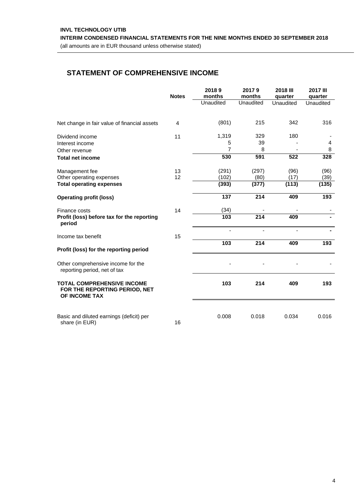**INTERIM CONDENSED FINANCIAL STATEMENTS FOR THE NINE MONTHS ENDED 30 SEPTEMBER 2018** 

<span id="page-3-0"></span>(all amounts are in EUR thousand unless otherwise stated)

## **STATEMENT OF COMPREHENSIVE INCOME**

|                                                                                     | <b>Notes</b> | 20189<br>months | 20179<br>months  | 2018 III<br>quarter | <b>2017 III</b><br>quarter |
|-------------------------------------------------------------------------------------|--------------|-----------------|------------------|---------------------|----------------------------|
|                                                                                     |              | Unaudited       | Unaudited        | Unaudited           | Unaudited                  |
| Net change in fair value of financial assets                                        | 4            | (801)           | 215              | 342                 | 316                        |
| Dividend income                                                                     | 11           | 1,319           | 329              | 180                 |                            |
| Interest income                                                                     |              | 5               | 39               |                     | 4                          |
| Other revenue<br><b>Total net income</b>                                            |              | 7<br>530        | 8<br>591         | 522                 | 8<br>328                   |
|                                                                                     |              |                 |                  |                     |                            |
| Management fee                                                                      | 13           | (291)           | (297)            | (96)                | (96)                       |
| Other operating expenses                                                            | 12           | (102)           | (80)             | (17)                | (39)                       |
| <b>Total operating expenses</b>                                                     |              | (393)           | (377)            | (113)               | (135)                      |
| <b>Operating profit (loss)</b>                                                      |              | 137             | 214              | 409                 | 193                        |
| Finance costs                                                                       | 14           | (34)            |                  |                     |                            |
| Profit (loss) before tax for the reporting<br>period                                |              | 103             | $\overline{214}$ | 409                 |                            |
| Income tax benefit                                                                  | 15           |                 |                  |                     |                            |
|                                                                                     |              | $\frac{1}{103}$ | 214              | 409                 | 193                        |
| Profit (loss) for the reporting period                                              |              |                 |                  |                     |                            |
| Other comprehensive income for the<br>reporting period, net of tax                  |              |                 |                  |                     |                            |
| <b>TOTAL COMPREHENSIVE INCOME</b><br>FOR THE REPORTING PERIOD, NET<br>OF INCOME TAX |              | 103             | 214              | 409                 | 193                        |
| Basic and diluted earnings (deficit) per                                            |              | 0.008           | 0.018            | 0.034               | 0.016                      |
| share (in EUR)                                                                      | 16           |                 |                  |                     |                            |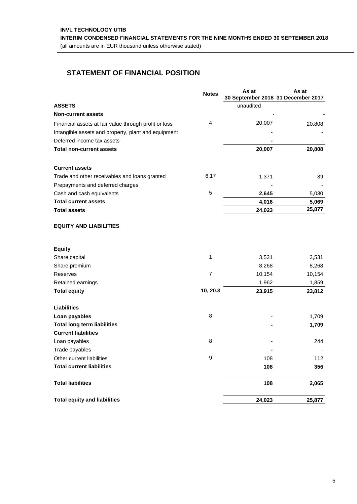**INTERIM CONDENSED FINANCIAL STATEMENTS FOR THE NINE MONTHS ENDED 30 SEPTEMBER 2018** 

<span id="page-4-0"></span>(all amounts are in EUR thousand unless otherwise stated)

# **STATEMENT OF FINANCIAL POSITION**

|                                                       | <b>Notes</b>   | As at<br>30 September 2018 31 December 2017 | As at  |
|-------------------------------------------------------|----------------|---------------------------------------------|--------|
| <b>ASSETS</b>                                         |                | unaudited                                   |        |
| <b>Non-current assets</b>                             |                |                                             |        |
| Financial assets at fair value through profit or loss | 4              | 20,007                                      |        |
|                                                       |                |                                             | 20,808 |
| Intangible assets and property, plant and equipment   |                |                                             |        |
| Deferred income tax assets                            |                |                                             |        |
| <b>Total non-current assets</b>                       |                | 20,007                                      | 20,808 |
| <b>Current assets</b>                                 |                |                                             |        |
| Trade and other receivables and loans granted         | 6,17           | 1,371                                       | 39     |
| Prepayments and deferred charges                      |                |                                             |        |
| Cash and cash equivalents                             | 5              | 2,645                                       | 5,030  |
| <b>Total current assets</b>                           |                | 4,016                                       | 5,069  |
| <b>Total assets</b>                                   |                | 24,023                                      | 25,877 |
| <b>EQUITY AND LIABILITIES</b>                         |                |                                             |        |
| <b>Equity</b>                                         |                |                                             |        |
| Share capital                                         | 1              | 3,531                                       | 3,531  |
| Share premium                                         |                | 8,268                                       | 8,268  |
| Reserves                                              | $\overline{7}$ | 10,154                                      | 10,154 |
| Retained earnings                                     |                | 1,962                                       | 1,859  |
| <b>Total equity</b>                                   | 10, 20.3       | 23,915                                      | 23,812 |
| <b>Liabilities</b>                                    |                |                                             |        |
| Loan payables                                         | 8              |                                             | 1,709  |
| <b>Total long term liabilities</b>                    |                |                                             | 1,709  |
| <b>Current liabilities</b>                            |                |                                             |        |
| Loan payables                                         | 8              |                                             | 244    |
| Trade payables                                        |                |                                             |        |
| Other current liabilities                             | 9              | 108                                         | 112    |
| <b>Total current liabilities</b>                      |                | 108                                         | 356    |
| <b>Total liabilities</b>                              |                | 108                                         | 2,065  |
| <b>Total equity and liabilities</b>                   |                | 24,023                                      | 25,877 |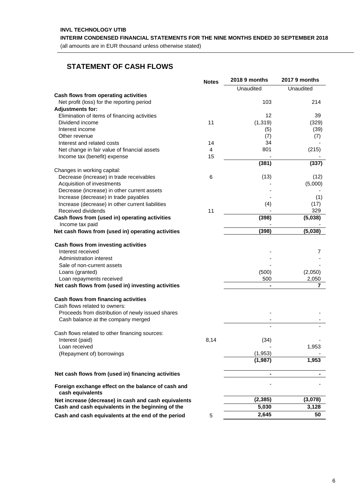<span id="page-5-0"></span>**INTERIM CONDENSED FINANCIAL STATEMENTS FOR THE NINE MONTHS ENDED 30 SEPTEMBER 2018** 

(all amounts are in EUR thousand unless otherwise stated)

## **STATEMENT OF CASH FLOWS**

|                                                                        | <b>Notes</b>   | 2018 9 months | 2017 9 months |
|------------------------------------------------------------------------|----------------|---------------|---------------|
|                                                                        |                | Unaudited     | Unaudited     |
| Cash flows from operating activities                                   |                |               |               |
| Net profit (loss) for the reporting period                             |                | 103           | 214           |
| <b>Adjustments for:</b>                                                |                |               |               |
| Elimination of items of financing activities                           |                | 12            | 39            |
| Dividend income                                                        | 11             | (1, 319)      | (329)         |
| Interest income                                                        |                | (5)           | (39)          |
| Other revenue                                                          |                | (7)           | (7)           |
| Interest and related costs                                             | 14             | 34            |               |
| Net change in fair value of financial assets                           | $\overline{4}$ | 801           | (215)         |
| Income tax (benefit) expense                                           | 15             |               |               |
|                                                                        |                | (381)         | (337)         |
| Changes in working capital:                                            |                |               |               |
| Decrease (increase) in trade receivables                               | 6              | (13)          | (12)          |
| Acquisition of investments                                             |                |               | (5,000)       |
| Decrease (increase) in other current assets                            |                |               |               |
| Increase (decrease) in trade payables                                  |                |               | (1)           |
| Increase (decrease) in other current liabilities                       |                | (4)           | (17)          |
| Received dividends                                                     | 11             |               | 329           |
| Cash flows from (used in) operating activities                         |                | (398)         | (5,038)       |
| Income tax paid                                                        |                |               |               |
| Net cash flows from (used in) operating activities                     |                | (398)         | (5,038)       |
|                                                                        |                |               |               |
| Cash flows from investing activities                                   |                |               |               |
| Interest received                                                      |                |               | 7             |
| Administration interest                                                |                |               |               |
| Sale of non-current assets                                             |                |               |               |
| Loans (granted)                                                        |                | (500)         | (2,050)       |
| Loan repayments received                                               |                | 500           | 2,050         |
| Net cash flows from (used in) investing activities                     |                |               | 7             |
| Cash flows from financing activities                                   |                |               |               |
| Cash flows related to owners:                                          |                |               |               |
| Proceeds from distribution of newly issued shares                      |                |               |               |
| Cash balance at the company merged                                     |                |               |               |
|                                                                        |                |               |               |
| Cash flows related to other financing sources:                         |                |               |               |
| Interest (paid)                                                        | 8,14           | (34)          |               |
| Loan received                                                          |                |               | 1,953         |
| (Repayment of) borrowings                                              |                | (1,953)       |               |
|                                                                        |                | (1,987)       | 1,953         |
|                                                                        |                |               |               |
| Net cash flows from (used in) financing activities                     |                |               |               |
| Foreign exchange effect on the balance of cash and<br>cash equivalents |                |               |               |
| Net increase (decrease) in cash and cash equivalents                   |                | (2, 385)      | (3,078)       |
| Cash and cash equivalents in the beginning of the                      |                | 5,030         | 3,128         |
|                                                                        |                | 2,645         | 50            |
| Cash and cash equivalents at the end of the period                     | 5              |               |               |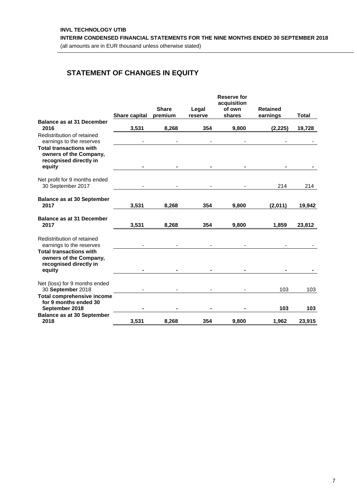# <span id="page-6-0"></span>**STATEMENT OF CHANGES IN EQUITY**

|                                                                                              |               |                         |                  | <b>Reserve for</b><br>acquisition |                             |              |
|----------------------------------------------------------------------------------------------|---------------|-------------------------|------------------|-----------------------------------|-----------------------------|--------------|
|                                                                                              | Share capital | <b>Share</b><br>premium | Legal<br>reserve | of own<br>shares                  | <b>Retained</b><br>earnings | <b>Total</b> |
| <b>Balance as at 31 December</b><br>2016                                                     | 3,531         | 8,268                   | 354              | 9,800                             | (2, 225)                    | 19,728       |
| Redistribution of retained<br>earnings to the reserves                                       |               |                         |                  |                                   |                             |              |
| <b>Total transactions with</b><br>owners of the Company,<br>recognised directly in           |               |                         |                  |                                   |                             |              |
| equity                                                                                       |               |                         |                  |                                   |                             |              |
| Net profit for 9 months ended<br>30 September 2017                                           |               |                         |                  |                                   | 214                         | 214          |
| <b>Balance as at 30 September</b><br>2017                                                    | 3,531         | 8,268                   | 354              | 9,800                             | (2,011)                     | 19,942       |
| <b>Balance as at 31 December</b><br>2017                                                     | 3,531         | 8,268                   | 354              | 9.800                             | 1,859                       | 23,812       |
| Redistribution of retained<br>earnings to the reserves                                       |               |                         |                  |                                   |                             |              |
| <b>Total transactions with</b><br>owners of the Company,<br>recognised directly in<br>equity |               |                         |                  |                                   |                             |              |
| Net (loss) for 9 months ended<br>30 September 2018                                           |               |                         |                  |                                   | 103                         | 103          |
| <b>Total comprehensive income</b><br>for 9 months ended 30<br>September 2018                 |               |                         |                  |                                   | 103                         | 103          |
| <b>Balance as at 30 September</b><br>2018                                                    | 3,531         | 8,268                   | 354              | 9,800                             | 1,962                       | 23,915       |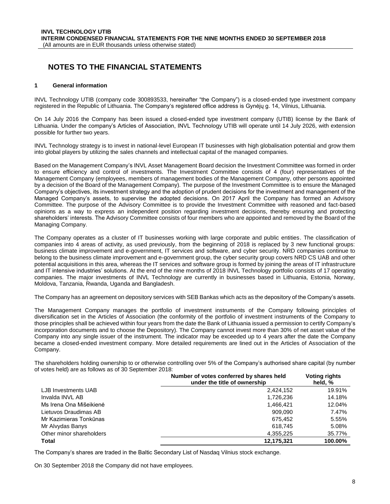## <span id="page-7-0"></span>**NOTES TO THE FINANCIAL STATEMENTS**

#### <span id="page-7-1"></span>**1 General information**

INVL Technology UTIB (company code 300893533, hereinafter "the Company") is a closed-ended type investment company registered in the Republic of Lithuania. The Company's registered office address is Gynėjų g. 14, Vilnius, Lithuania.

On 14 July 2016 the Company has been issued a closed-ended type investment company (UTIB) license by the Bank of Lithuania. Under the company's Articles of Association, INVL Technology UTIB will operate until 14 July 2026, with extension possible for further two years.

INVL Technology strategy is to invest in national-level European IT businesses with high globalisation potential and grow them into global players by utilizing the sales channels and intellectual capital of the managed companies.

Based on the Management Company's INVL Asset Management Board decision the Investment Committee was formed in order to ensure efficiency and control of investments. The Investment Committee consists of 4 (four) representatives of the Management Company (employees, members of management bodies of the Management Company, other persons appointed by a decision of the Board of the Management Company). The purpose of the Investment Committee is to ensure the Managed Company's objectives, its investment strategy and the adoption of prudent decisions for the investment and management of the Managed Company's assets, to supervise the adopted decisions. On 2017 April the Company has formed an Advisory Committee. The purpose of the Advisory Committee is to provide the Investment Committee with reasoned and fact-based opinions as a way to express an independent position regarding investment decisions, thereby ensuring and protecting shareholders' interests. The Advisory Committee consists of four members who are appointed and removed by the Board of the Managing Company.

The Company operates as a cluster of IT businesses working with large corporate and public entities. The classification of companies into 4 areas of activity, as used previously, from the beginning of 2018 is replaced by 3 new functional groups: business climate improvement and e-government, IT services and software, and cyber security. NRD companies continue to belong to the business climate improvement and e-government group, the cyber security group covers NRD CS UAB and other potential acquisitions in this area, whereas the IT services and software group is formed by joining the areas of IT infrastructure and IT intensive industries' solutions. At the end of the nine months of 2018 INVL Technology portfolio consists of 17 operating companies. The major investments of INVL Technology are currently in businesses based in Lithuania, Estonia, Norway, Moldova, Tanzania, Rwanda, Uganda and Bangladesh.

The Company has an agreement on depository services with SEB Bankas which acts as the depository of the Company's assets.

The Management Company manages the portfolio of investment instruments of the Company following principles of diversification set in the Articles of Association (the conformity of the portfolio of investment instruments of the Company to those principles shall be achieved within four years from the date the Bank of Lithuania issued a permission to certify Company's incorporation documents and to choose the Depository). The Company cannot invest more than 30% of net asset value of the Company into any single issuer of the instrument. The indicator may be exceeded up to 4 years after the date the Company became a closed-ended investment company. More detailed requirements are lined out in the Articles of Association of the Company.

The shareholders holding ownership to or otherwise controlling over 5% of the Company's authorised share capital (by number of votes held) are as follows as of 30 September 2018:

|                          | Number of votes conferred by shares held<br>under the title of ownership | <b>Voting rights</b><br>held, % |
|--------------------------|--------------------------------------------------------------------------|---------------------------------|
| LJB Investments UAB      | 2,424,152                                                                | 19.91%                          |
| Invalda INVL AB          | 1,726,236                                                                | 14.18%                          |
| Ms Irena Ona Mišeikienė  | 1.466.421                                                                | 12.04%                          |
| Lietuvos Draudimas AB    | 909.090                                                                  | 7.47%                           |
| Mr Kazimieras Tonkūnas   | 675.452                                                                  | 5.55%                           |
| Mr Alvydas Banys         | 618,745                                                                  | 5.08%                           |
| Other minor shareholders | 4,355,225                                                                | 35.77%                          |
| Total                    | 12.175.321                                                               | 100.00%                         |

The Company's shares are traded in the Baltic Secondary List of Nasdaq Vilnius stock exchange.

On 30 September 2018 the Company did not have employees.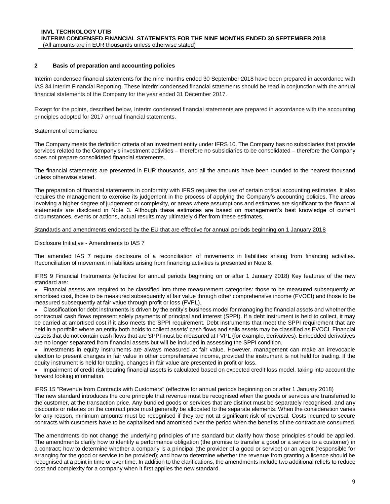#### <span id="page-8-0"></span>**2 Basis of preparation and accounting policies**

Interim condensed financial statements for the nine months ended 30 September 2018 have been prepared in accordance with IAS 34 Interim Financial Reporting. These interim condensed financial statements should be read in conjunction with the annual financial statements of the Company for the year ended 31 December 2017.

Except for the points, described below, Interim condensed financial statements are prepared in accordance with the accounting principles adopted for 2017 annual financial statements.

#### Statement of compliance

The Company meets the definition criteria of an investment entity under IFRS 10. The Company has no subsidiaries that provide services related to the Company's investment activities – therefore no subsidiaries to be consolidated – therefore the Company does not prepare consolidated financial statements.

The financial statements are presented in EUR thousands, and all the amounts have been rounded to the nearest thousand unless otherwise stated.

The preparation of financial statements in conformity with IFRS requires the use of certain critical accounting estimates. It also requires the management to exercise its judgement in the process of applying the Company's accounting policies. The areas involving a higher degree of judgement or complexity, or areas where assumptions and estimates are significant to the financial statements are disclosed in Note [3.](#page-9-0) Although these estimates are based on management's best knowledge of current circumstances, events or actions, actual results may ultimately differ from these estimates.

#### Standards and amendments endorsed by the EU that are effective for annual periods beginning on 1 January 2018

Disclosure Initiative - Amendments to IAS 7

The amended IAS 7 require disclosure of a reconciliation of movements in liabilities arising from financing activities. Reconciliation of movement in liabilities arising from financing activities is presented in Note 8.

IFRS 9 Financial Instruments (effective for annual periods beginning on or after 1 January 2018) Key features of the new standard are:

• Financial assets are required to be classified into three measurement categories: those to be measured subsequently at amortised cost, those to be measured subsequently at fair value through other comprehensive income (FVOCI) and those to be measured subsequently at fair value through profit or loss (FVPL).

• Classification for debt instruments is driven by the entity's business model for managing the financial assets and whether the contractual cash flows represent solely payments of principal and interest (SPPI). If a debt instrument is held to collect, it may be carried at amortised cost if it also meets the SPPI requirement. Debt instruments that meet the SPPI requirement that are held in a portfolio where an entity both holds to collect assets' cash flows and sells assets may be classified as FVOCI. Financial assets that do not contain cash flows that are SPPI must be measured at FVPL (for example, derivatives). Embedded derivatives are no longer separated from financial assets but will be included in assessing the SPPI condition.

• Investments in equity instruments are always measured at fair value. However, management can make an irrevocable election to present changes in fair value in other comprehensive income, provided the instrument is not held for trading. If the equity instrument is held for trading, changes in fair value are presented in profit or loss.

• Impairment of credit risk bearing financial assets is calculated based on expected credit loss model, taking into account the forward looking information.

IFRS 15 "Revenue from Contracts with Customers" (effective for annual periods beginning on or after 1 January 2018) The new standard introduces the core principle that revenue must be recognised when the goods or services are transferred to the customer, at the transaction price. Any bundled goods or services that are distinct must be separately recognised, and any discounts or rebates on the contract price must generally be allocated to the separate elements. When the consideration varies for any reason, minimum amounts must be recognised if they are not at significant risk of reversal. Costs incurred to secure contracts with customers have to be capitalised and amortised over the period when the benefits of the contract are consumed.

The amendments do not change the underlying principles of the standard but clarify how those principles should be applied. The amendments clarify how to identify a performance obligation (the promise to transfer a good or a service to a customer) in a contract; how to determine whether a company is a principal (the provider of a good or service) or an agent (responsible for arranging for the good or service to be provided); and how to determine whether the revenue from granting a licence should be recognised at a point in time or over time. In addition to the clarifications, the amendments include two additional reliefs to reduce cost and complexity for a company when it first applies the new standard.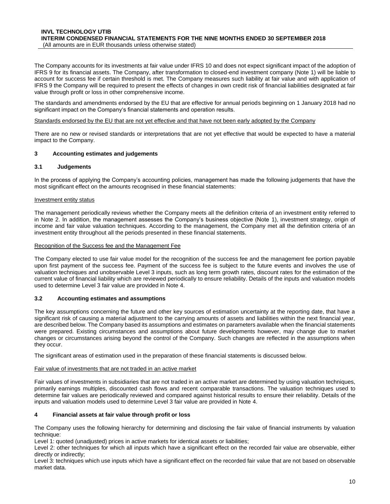The Company accounts for its investments at fair value under IFRS 10 and does not expect significant impact of the adoption of IFRS 9 for its financial assets. The Company, after transformation to closed-end investment company (Note [1\)](#page-7-1) will be liable to account for success fee if certain threshold is met. The Company measures such liability at fair value and with application of IFRS 9 the Company will be required to present the effects of changes in own credit risk of financial liabilities designated at fair value through profit or loss in other comprehensive income.

The standards and amendments endorsed by the EU that are effective for annual periods beginning on 1 January 2018 had no significant impact on the Company's financial statements and operation results.

#### Standards endorsed by the EU that are not yet effective and that have not been early adopted by the Company

There are no new or revised standards or interpretations that are not yet effective that would be expected to have a material impact to the Company.

#### <span id="page-9-0"></span>**3 Accounting estimates and judgements**

#### **3.1 Judgements**

In the process of applying the Company's accounting policies, management has made the following judgements that have the most significant effect on the amounts recognised in these financial statements:

#### Investment entity status

The management periodically reviews whether the Company meets all the definition criteria of an investment entity referred to in Note 2. In addition, the management assesses the Company's business objective (Note [1\)](#page-7-1), investment strategy, origin of income and fair value valuation techniques. According to the management, the Company met all the definition criteria of an investment entity throughout all the periods presented in these financial statements.

#### Recognition of the Success fee and the Management Fee

The Company elected to use fair value model for the recognition of the success fee and the management fee portion payable upon first payment of the success fee. Payment of the success fee is subject to the future events and involves the use of valuation techniques and unobservable Level 3 inputs, such as long term growth rates, discount rates for the estimation of the current value of financial liability which are reviewed periodically to ensure reliability. Details of the inputs and valuation models used to determine Level 3 fair value are provided in Note 4.

#### **3.2 Accounting estimates and assumptions**

The key assumptions concerning the future and other key sources of estimation uncertainty at the reporting date, that have a significant risk of causing a material adjustment to the carrying amounts of assets and liabilities within the next financial year, are described below. The Company based its assumptions and estimates on parameters available when the financial statements were prepared. Existing circumstances and assumptions about future developments however, may change due to market changes or circumstances arising beyond the control of the Company. Such changes are reflected in the assumptions when they occur.

The significant areas of estimation used in the preparation of these financial statements is discussed below.

#### Fair value of investments that are not traded in an active market

Fair values of investments in subsidiaries that are not traded in an active market are determined by using valuation techniques, primarily earnings multiples, discounted cash flows and recent comparable transactions. The valuation techniques used to determine fair values are periodically reviewed and compared against historical results to ensure their reliability. Details of the inputs and valuation models used to determine Level 3 fair value are provided in Note [4.](#page-9-1)

#### <span id="page-9-1"></span>**4 Financial assets at fair value through profit or loss**

The Company uses the following hierarchy for determining and disclosing the fair value of financial instruments by valuation technique:

Level 1: quoted (unadjusted) prices in active markets for identical assets or liabilities;

<span id="page-9-2"></span>Level 2: other techniques for which all inputs which have a significant effect on the recorded fair value are observable, either directly or indirectly;

Level 3: techniques which use inputs which have a significant effect on the recorded fair value that are not based on observable market data.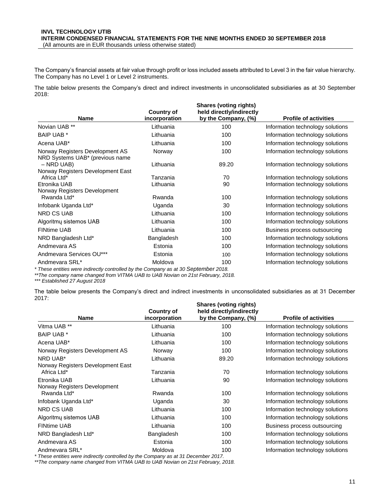The Company's financial assets at fair value through profit or loss included assets attributed to Level 3 in the fair value hierarchy. The Company has no Level 1 or Level 2 instruments.

The table below presents the Company's direct and indirect investments in unconsolidated subsidiaries as at 30 September 2018:

|                                                                                   | <b>Country of</b> | <b>Shares (voting rights)</b><br>held directly/indirectly |                                  |
|-----------------------------------------------------------------------------------|-------------------|-----------------------------------------------------------|----------------------------------|
| <b>Name</b>                                                                       | incorporation     | by the Company, (%)                                       | <b>Profile of activities</b>     |
| Novian UAB **                                                                     | Lithuania         | 100                                                       | Information technology solutions |
| <b>BAIP UAB *</b>                                                                 | Lithuania         | 100                                                       | Information technology solutions |
| Acena UAB*                                                                        | Lithuania         | 100                                                       | Information technology solutions |
| Norway Registers Development AS<br>NRD Systems UAB* (previous name                | Norway            | 100                                                       | Information technology solutions |
| $-$ NRD UAB)                                                                      | Lithuania         | 89.20                                                     | Information technology solutions |
| Norway Registers Development East                                                 |                   |                                                           |                                  |
| Africa Ltd*                                                                       | Tanzania          | 70                                                        | Information technology solutions |
| Etronika UAB                                                                      | Lithuania         | 90                                                        | Information technology solutions |
| Norway Registers Development                                                      |                   |                                                           |                                  |
| Rwanda Ltd*                                                                       | Rwanda            | 100                                                       | Information technology solutions |
| Infobank Uganda Ltd*                                                              | Uganda            | 30                                                        | Information technology solutions |
| <b>NRD CS UAB</b>                                                                 | Lithuania         | 100                                                       | Information technology solutions |
| Algoritmy sistemos UAB                                                            | Lithuania         | 100                                                       | Information technology solutions |
| <b>FINtime UAB</b>                                                                | Lithuania         | 100                                                       | Business process outsourcing     |
| NRD Bangladesh Ltd*                                                               | Bangladesh        | 100                                                       | Information technology solutions |
| Andmevara AS                                                                      | Estonia           | 100                                                       | Information technology solutions |
| Andmevara Services OU***                                                          | Estonia           | 100                                                       | Information technology solutions |
| Andmevara SRL*                                                                    | Moldova           | 100                                                       | Information technology solutions |
| These entities were indirectly controlled by the Company as at 30 September 2018. |                   |                                                           |                                  |

*\*\*The company name changed from VITMA UAB to UAB Novian on 21st February, 2018.*

*\*\*\* Established 27 August 2018*

The table below presents the Company's direct and indirect investments in unconsolidated subsidiaries as at 31 December 2017:

|                                                  | <b>Country of</b> | <b>Shares (voting rights)</b><br>held directly/indirectly |                                  |
|--------------------------------------------------|-------------------|-----------------------------------------------------------|----------------------------------|
| <b>Name</b>                                      | incorporation     | by the Company, (%)                                       | <b>Profile of activities</b>     |
| Vitma UAB **                                     | Lithuania         | 100                                                       | Information technology solutions |
| <b>BAIP UAB *</b>                                | Lithuania         | 100                                                       | Information technology solutions |
| Acena UAB*                                       | Lithuania         | 100                                                       | Information technology solutions |
| Norway Registers Development AS                  | Norway            | 100                                                       | Information technology solutions |
| NRD UAB*                                         | Lithuania         | 89.20                                                     | Information technology solutions |
| Norway Registers Development East<br>Africa Ltd* | Tanzania          | 70                                                        | Information technology solutions |
| Etronika UAB                                     | Lithuania         | 90                                                        | Information technology solutions |
| Norway Registers Development<br>Rwanda Ltd*      | Rwanda            | 100                                                       | Information technology solutions |
| Infobank Uganda Ltd*                             | Uganda            | 30                                                        | Information technology solutions |
| NRD CS UAB                                       | Lithuania         | 100                                                       | Information technology solutions |
| Algoritmy sistemos UAB                           | Lithuania         | 100                                                       | Information technology solutions |
| <b>FINtime UAB</b>                               | Lithuania         | 100                                                       | Business process outsourcing     |
| NRD Bangladesh Ltd*                              | Bangladesh        | 100                                                       | Information technology solutions |
| Andmevara AS                                     | Estonia           | 100                                                       | Information technology solutions |
| Andmevara SRL*                                   | Moldova           | 100                                                       | Information technology solutions |

*\* These entities were indirectly controlled by the Company as at 31 December 2017.*

*\*\*The company name changed from VITMA UAB to UAB Novian on 21st February, 2018.*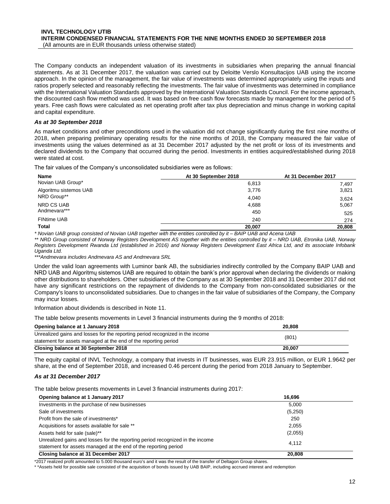The Company conducts an independent valuation of its investments in subsidiaries when preparing the annual financial statements. As at 31 December 2017, the valuation was carried out by Deloitte Verslo Konsultacijos UAB using the income approach. In the opinion of the management, the fair value of investments was determined appropriately using the inputs and ratios properly selected and reasonably reflecting the investments. The fair value of investments was determined in compliance with the International Valuation Standards approved by the International Valuation Standards Council. For the income approach, the discounted cash flow method was used. It was based on free cash flow forecasts made by management for the period of 5 years. Free cash flows were calculated as net operating profit after tax plus depreciation and minus change in working capital and capital expenditure.

#### *As at 30 September 2018*

As market conditions and other preconditions used in the valuation did not change significantly during the first nine months of 2018, when preparing preliminary operating results for the nine months of 2018, the Company measured the fair value of investments using the values determined as at 31 December 2017 adjusted by the net profit or loss of its investments and declared dividends to the Company that occurred during the period. Investments in entities acquired/established during 2018 were stated at cost.

The fair values of the Company's unconsolidated subsidiaries were as follows:

| Name                   | At 30 September 2018 | At 31 December 2017 |  |
|------------------------|----------------------|---------------------|--|
| Novian UAB Group*      | 6,813                | 7.497               |  |
| Algoritmu sistemos UAB | 3,776                | 3,821               |  |
| NRD Group**            | 4,040                | 3.624               |  |
| NRD CS UAB             | 4,688                | 5,067               |  |
| Andmevara***           | 450                  | 525                 |  |
| <b>FINtime UAB</b>     | 240                  | 274                 |  |
| <b>Total</b>           | 20.007               | 20,808              |  |

*\* Novian UAB group consisted of Novian UAB together with the entities controlled by it – BAIP UAB and Acena UAB* 

*\*\* NRD Group consisted of Norway Registers Development AS together with the entities controlled by it – NRD UAB, Etronika UAB, Norway Registers Development Rwanda Ltd (established in 2016) and Norway Registers Development East Africa Ltd, and its associate Infobank Uganda Ltd.* 

*\*\*\*Andmevara includes Andmevara AS and Andmevara SRL*

Under the valid loan agreements with Luminor bank AB, the subsidiaries indirectly controlled by the Company BAIP UAB and NRD UAB and Algoritmų sistemos UAB are required to obtain the bank's prior approval when declaring the dividends or making other distributions to shareholders. Other subsidiaries of the Company as at 30 September 2018 and 31 December 2017 did not have any significant restrictions on the repayment of dividends to the Company from non-consolidated subsidiaries or the Company's loans to unconsolidated subsidiaries. Due to changes in the fair value of subsidiaries of the Company, the Company may incur losses.

Information about dividends is described in Note 11.

The table below presents movements in Level 3 financial instruments during the 9 months of 2018:

| Opening balance at 1 January 2018                                                      | 20,808 |  |
|----------------------------------------------------------------------------------------|--------|--|
| Unrealized gains and losses for the reporting period recognized in the income<br>(801) |        |  |
| statement for assets managed at the end of the reporting period                        |        |  |
| Closing balance at 30 September 2018                                                   | 20.007 |  |

The equity capital of INVL Technology, a company that invests in IT businesses, was EUR 23.915 million, or EUR 1.9642 per share, at the end of September 2018, and increased 0.46 percent during the period from 2018 January to September.

#### *As at 31 December 2017*

–

The table below presents movements in Level 3 financial instruments during 2017:

| Opening balance at 1 January 2017                                             | 16,696  |  |
|-------------------------------------------------------------------------------|---------|--|
| Investments in the purchase of new businesses                                 | 5,000   |  |
| Sale of investments                                                           | (5,250) |  |
| Profit from the sale of investments*                                          | 250     |  |
| Acquisitions for assets available for sale **                                 | 2.055   |  |
| Assets held for sale (sale)**                                                 | (2,055) |  |
| Unrealized gains and losses for the reporting period recognized in the income | 4.112   |  |
| statement for assets managed at the end of the reporting period               |         |  |
| Closing balance at 31 December 2017                                           | 20,808  |  |

\*2017 realized profit amounted to 5.000 thousand euro's and it was the result of the transfer of Deltagon Group shares.

\* \*Assets held for possible sale consisted of the acquisition of bonds issued by UAB BAIP, including accrued interest and redemption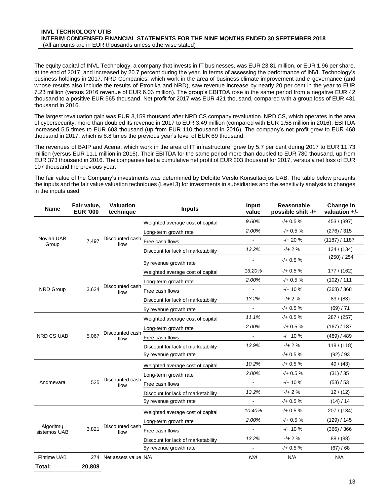The equity capital of INVL Technology, a company that invests in IT businesses, was EUR 23.81 million, or EUR 1.96 per share, at the end of 2017, and increased by 20.7 percent during the year. In terms of assessing the performance of INVL Technology's business holdings in 2017, NRD Companies, which work in the area of business climate improvement and e-governance (and whose results also include the results of Etronika and NRD), saw revenue increase by nearly 20 per cent in the year to EUR 7.23 million (versus 2016 revenue of EUR 6.03 million). The group's EBITDA rose in the same period from a negative EUR 42 thousand to a positive EUR 565 thousand. Net profit for 2017 was EUR 421 thousand, compared with a group loss of EUR 431 thousand in 2016.

The largest revaluation gain was EUR 3,159 thousand after NRD CS company revaluation. NRD CS, which operates in the area of cybersecurity, more than doubled its revenue in 2017 to EUR 3.49 million (compared with EUR 1.58 million in 2016). EBITDA increased 5.5 times to EUR 603 thousand (up from EUR 110 thousand in 2016). The company's net profit grew to EUR 468 thousand in 2017, which is 6.8 times the previous year's level of EUR 69 thousand.

The revenues of BAIP and Acena, which work in the area of IT infrastructure, grew by 5.7 per cent during 2017 to EUR 11.73 million (versus EUR 11.1 million in 2016). Their EBITDA for the same period more than doubled to EUR 780 thousand, up from EUR 373 thousand in 2016. The companies had a cumulative net profit of EUR 203 thousand for 2017, versus a net loss of EUR 107 thousand the previous year.

The fair value of the Company's investments was determined by Deloitte Verslo Konsultacijos UAB. The table below presents the inputs and the fair value valuation techniques (Level 3) for investments in subsidiaries and the sensitivity analysis to changes in the inputs used:

| <b>Name</b>               | Fair value,<br><b>EUR '000</b> | <b>Valuation</b><br>technique | <b>Inputs</b>                      | Input<br>value           | Reasonable<br>possible shift -/+ | Change in<br>valuation +/- |
|---------------------------|--------------------------------|-------------------------------|------------------------------------|--------------------------|----------------------------------|----------------------------|
|                           |                                |                               | Weighted average cost of capital   | 9.60%                    | $-/- 0.5 \%$                     | 453 / (397)                |
|                           |                                |                               | Long-term growth rate              | 2.00%                    | $-/- 0.5 \%$                     | (276) / 315                |
| Novian UAB<br>Group       | 7,497                          | Discounted cash<br>flow       | Free cash flows                    | $\blacksquare$           | $-/- 20 \%$                      | (1187) / 1187              |
|                           |                                |                               | Discount for lack of marketability | 13.2%                    | $-1 + 2%$                        | 134 / (134)                |
|                           |                                |                               | 5y revenue growth rate             | $\overline{\phantom{a}}$ | $-/- 0.5 \%$                     | (250) / 254                |
|                           |                                |                               | Weighted average cost of capital   | 13.20%                   | $-/- 0.5 \%$                     | 177/ (162)                 |
|                           |                                |                               | Long-term growth rate              | 2.00%                    | $-/- 0.5 \%$                     | (102) / 111                |
| <b>NRD Group</b>          | 3,624                          | Discounted cash<br>flow       | Free cash flows                    | $\overline{a}$           | $-/-10%$                         | (368) / 368                |
|                           |                                |                               | Discount for lack of marketability | 13.2%                    | $-/$ + 2 %                       | 83/(83)                    |
|                           |                                |                               | 5y revenue growth rate             | $\blacksquare$           | $-/- 0.5 \%$                     | (69) / 71                  |
|                           |                                |                               | Weighted average cost of capital   | 11.1%                    | $-/- 0.5 \%$                     | 287 / (257)                |
|                           |                                |                               | Long-term growth rate              | 2.00%                    | $-/- 0.5 \%$                     | (167) / 187                |
| <b>NRD CS UAB</b>         | 5,067                          | Discounted cash<br>flow       | Free cash flows                    |                          | $-/-10%$                         | (489) / 489                |
|                           |                                |                               | Discount for lack of marketability | 13.9%                    | $-/+2%$                          | 118 / (118)                |
|                           |                                |                               | 5y revenue growth rate             |                          | $-/- 0.5 \%$                     | (92) / 93                  |
|                           |                                |                               | Weighted average cost of capital   | 10.2%                    | $-/- 0.5 \%$                     | 49 / (43)                  |
|                           |                                |                               | Long-term growth rate              | 2.00%                    | $-/- 0.5 \%$                     | (31)/35                    |
| Andmevara                 | 525                            | Discounted cash<br>flow       | Free cash flows                    | $\blacksquare$           | $-/- 10 \%$                      | (53) / 53                  |
|                           |                                |                               | Discount for lack of marketability | 13.2%                    | $-/- 2%$                         | 12/(12)                    |
|                           |                                |                               | 5y revenue growth rate             |                          | $-/- 0.5 \%$                     | (14) / 14                  |
|                           |                                |                               | Weighted average cost of capital   | 10.40%                   | $-/- 0.5 \%$                     | 207 / (184)                |
|                           |                                |                               | Long-term growth rate              | 2.00%                    | $-/- 0.5 \%$                     | (129) / 145                |
| Algoritmy<br>sistemos UAB | 3,821                          | Discounted cash<br>flow       | Free cash flows                    | $\blacksquare$           | $-/-10%$                         | (366) / 366                |
|                           |                                |                               | Discount for lack of marketability | 13.2%                    | $-1 + 2%$                        | 88/ (88)                   |
|                           |                                |                               | 5y revenue growth rate             | $\overline{a}$           | $-/- 0.5 \%$                     | (67) / 68                  |
| <b>Fintime UAB</b>        |                                | 274 Net assets value N/A      |                                    | N/A                      | N/A                              | N/A                        |
| Total:                    | 20,808                         |                               |                                    |                          |                                  |                            |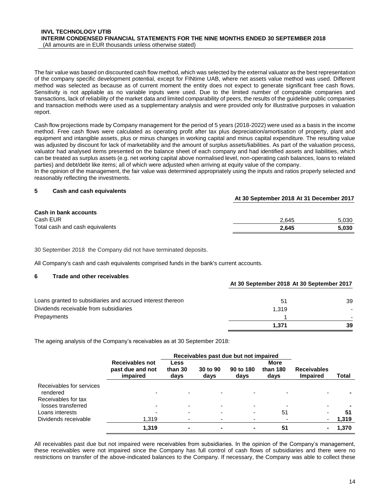The fair value was based on discounted cash flow method, which was selected by the external valuator as the best representation of the company specific development potential, except for FINtime UAB, where net assets value method was used. Different method was selected as because as of current moment the entity does not expect to generate significant free cash flows. Sensitivity is not appliable as no variable inputs were used. Due to the limited number of comparable companies and transactions, lack of reliability of the market data and limited comparability of peers, the results of the guideline public companies and transaction methods were used as a supplementary analysis and were provided only for illustrative purposes in valuation report.

Cash flow projections made by Company management for the period of 5 years (2018-2022) were used as a basis in the income method. Free cash flows were calculated as operating profit after tax plus depreciation/amortisation of property, plant and equipment and intangible assets, plus or minus changes in working capital and minus capital expenditure. The resulting value was adjusted by discount for lack of marketability and the amount of surplus assets/liabilities. As part of the valuation process, valuator had analysed items presented on the balance sheet of each company and had identified assets and liabilities, which can be treated as surplus assets (e.g. net working capital above normalised level, non-operating cash balances, loans to related parties) and debt/debt like items; all of which were adjusted when arriving at equity value of the company.

In the opinion of the management, the fair value was determined appropriately using the inputs and ratios properly selected and reasonably reflecting the investments.

#### <span id="page-13-0"></span>**5 Cash and cash equivalents**

| <b>Cash in bank accounts</b>    |       |       |
|---------------------------------|-------|-------|
| Cash EUR                        | 2.645 | 5.030 |
| Total cash and cash equivalents | 2.645 | 5.030 |

**At 30 September 2018 At 31 December 2017**

30 September 2018 the Company did not have terminated deposits.

All Company's cash and cash equivalents comprised funds in the bank's current accounts.

#### <span id="page-13-1"></span>**6 Trade and other receivables**

|                                                            | At 30 September 2018 At 30 September 2017 |    |  |
|------------------------------------------------------------|-------------------------------------------|----|--|
| Loans granted to subsidiaries and accrued interest thereon | 51                                        | 39 |  |
| Dividends receivable from subsidiaries                     | 1.319                                     |    |  |
| Prepayments                                                |                                           |    |  |
|                                                            | 1.371                                     | 39 |  |

The ageing analysis of the Company's receivables as at 30 September 2018:

|                                           | Receivables past due but not impaired           |                         |                          |                   |                          |                                       |       |
|-------------------------------------------|-------------------------------------------------|-------------------------|--------------------------|-------------------|--------------------------|---------------------------------------|-------|
|                                           | Receivables not<br>past due and not<br>impaired | Less<br>than 30<br>days | 30 to 90<br>days         | 90 to 180<br>days | More<br>than 180<br>days | <b>Receivables</b><br><b>Impaired</b> | Total |
| Receivables for services<br>rendered      |                                                 |                         |                          |                   |                          |                                       |       |
| Receivables for tax<br>losses transferred |                                                 |                         | $\overline{\phantom{0}}$ |                   |                          | ۰                                     |       |
| Loans interests                           |                                                 |                         | $\overline{\phantom{0}}$ |                   | 51                       | $\overline{\phantom{0}}$              | 51    |
| Dividends receivable                      | 1,319                                           |                         | $\overline{\phantom{0}}$ |                   |                          | ٠                                     | 1,319 |
|                                           | 1,319                                           | $\blacksquare$          | $\blacksquare$           | $\blacksquare$    | 51                       | ٠                                     | 1,370 |

All receivables past due but not impaired were receivables from subsidiaries. In the opinion of the Company's management, these receivables were not impaired since the Company has full control of cash flows of subsidiaries and there were no restrictions on transfer of the above-indicated balances to the Company. If necessary, the Company was able to collect these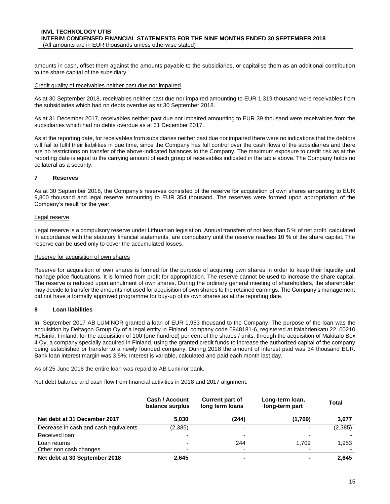amounts in cash, offset them against the amounts payable to the subsidiaries, or capitalise them as an additional contribution to the share capital of the subsidiary.

#### Credit quality of receivables neither past due nor impaired

As at 30 September 2018, receivables neither past due nor impaired amounting to EUR 1,319 thousand were receivables from the subsidiaries which had no debts overdue as at 30 September 2018.

As at 31 December 2017, receivables neither past due nor impaired amounting to EUR 39 thousand were receivables from the subsidiaries which had no debts overdue as at 31 December 2017.

As at the reporting date, for receivables from subsidiaries neither past due nor impaired there were no indications that the debtors will fail to fulfil their liabilities in due time, since the Company has full control over the cash flows of the subsidiaries and there are no restrictions on transfer of the above-indicated balances to the Company. The maximum exposure to credit risk as at the reporting date is equal to the carrying amount of each group of receivables indicated in the table above. The Company holds no collateral as a security.

#### <span id="page-14-0"></span>**7 Reserves**

As at 30 September 2018, the Company's reserves consisted of the reserve for acquisition of own shares amounting to EUR 9,800 thousand and legal reserve amounting to EUR 354 thousand. The reserves were formed upon appropriation of the Company's result for the year.

#### Legal reserve

Legal reserve is a compulsory reserve under Lithuanian legislation. Annual transfers of not less than 5 % of net profit, calculated in accordance with the statutory financial statements, are compulsory until the reserve reaches 10 % of the share capital. The reserve can be used only to cover the accumulated losses.

#### Reserve for acquisition of own shares

Reserve for acquisition of own shares is formed for the purpose of acquiring own shares in order to keep their liquidity and manage price fluctuations. It is formed from profit for appropriation. The reserve cannot be used to increase the share capital. The reserve is reduced upon annulment of own shares. During the ordinary general meeting of shareholders, the shareholder may decide to transfer the amounts not used for acquisition of own shares to the retained earnings. The Company's management did not have a formally approved programme for buy-up of its own shares as at the reporting date.

#### <span id="page-14-1"></span>**8 Loan liabilities**

In September 2017 AB LUMINOR granted a loan of EUR 1,953 thousand to the Company. The purpose of the loan was the acquisition by Deltagon Group Oy of a legal entity in Finland, company code 0948181-6, registered at Itälahdenkatu 22, 00210 Helsinki, Finland, for the acquisition of 100 (one hundred) per cent of the shares / units, through the acquisition of Mäkitalo Box 4 Oy, a company specially acquired in Finland, using the granted credit funds to increase the authorized capital of the company being established or transfer to a newly founded company. During 2018 the amount of interest paid was 34 thousand EUR. Bank loan interest margin was 3.5%; Interest is variable, calculated and paid each month last day.

As of 25 June 2018 the entire loan was repaid to AB Luminor bank.

Net debt balance and cash flow from financial activities in 2018 and 2017 alignment:

|                                       | Cash / Account<br>balance surplus | <b>Current part of</b><br>long term loans | Long-term loan,<br>long-term part | Total   |
|---------------------------------------|-----------------------------------|-------------------------------------------|-----------------------------------|---------|
| Net debt at 31 December 2017          | 5,030                             | (244)                                     | (1,709)                           | 3,077   |
| Decrease in cash and cash equivalents | (2,385)                           | -                                         |                                   | (2,385) |
| Received loan                         |                                   |                                           |                                   |         |
| Loan returns                          | $\overline{\phantom{0}}$          | 244                                       | 1.709                             | 1,953   |
| Other non cash changes                | -                                 | -                                         |                                   |         |
| Net debt at 30 September 2018         | 2,645                             |                                           |                                   | 2,645   |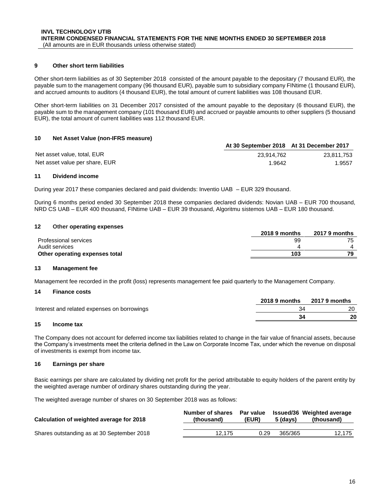#### <span id="page-15-0"></span>**9 Other short term liabilities**

Other short-term liabilities as of 30 September 2018 consisted of the amount payable to the depositary (7 thousand EUR), the payable sum to the management company (96 thousand EUR), payable sum to subsidiary company FINtime (1 thousand EUR), and accrued amounts to auditors (4 thousand EUR), the total amount of current liabilities was 108 thousand EUR.

Other short-term liabilities on 31 December 2017 consisted of the amount payable to the depositary (6 thousand EUR), the payable sum to the management company (101 thousand EUR) and accrued or payable amounts to other suppliers (5 thousand EUR), the total amount of current liabilities was 112 thousand EUR.

#### <span id="page-15-1"></span>**10 Net Asset Value (non-IFRS measure)**

|                                | At 30 September 2018 At 31 December 2017 |            |
|--------------------------------|------------------------------------------|------------|
| Net asset value, total, EUR    | 23.914.762                               | 23.811.753 |
| Net asset value per share, EUR | 1.9642                                   | 1.9557     |

#### <span id="page-15-2"></span>**11 Dividend income**

During year 2017 these companies declared and paid dividends: Inventio UAB – EUR 329 thousand.

During 6 months period ended 30 September 2018 these companies declared dividends: Novian UAB – EUR 700 thousand, NRD CS UAB – EUR 400 thousand, FINtime UAB – EUR 39 thousand, Algoritmu sistemos UAB – EUR 180 thousand.

#### <span id="page-15-3"></span>**12 Other operating expenses**

|                                | 2018 9 months | <b>2017 9 months</b> |
|--------------------------------|---------------|----------------------|
| Professional services          | 99            | 75                   |
| Audit services                 |               |                      |
| Other operating expenses total | 103           |                      |

#### <span id="page-15-4"></span>**13 Management fee**

Management fee recorded in the profit (loss) represents management fee paid quarterly to the Management Company.

#### <span id="page-15-5"></span>**14 Finance costs**

|                                             | 2018 9 months | 2017 9 months |
|---------------------------------------------|---------------|---------------|
| Interest and related expenses on borrowings |               |               |
|                                             |               | 20            |
|                                             |               |               |

#### <span id="page-15-8"></span><span id="page-15-6"></span>**15 Income tax**

The Company does not account for deferred income tax liabilities related to change in the fair value of financial assets, because the Company's investments meet the criteria defined in the Law on Corporate Income Tax, under which the revenue on disposal of investments is exempt from income tax.

#### <span id="page-15-9"></span><span id="page-15-7"></span>**16 Earnings per share**

Basic earnings per share are calculated by dividing net profit for the period attributable to equity holders of the parent entity by the weighted average number of ordinary shares outstanding during the year.

<span id="page-15-10"></span>The weighted average number of shares on 30 September 2018 was as follows:

| Calculation of weighted average for 2018   | Number of shares<br>(thousand) | Par value<br>(EUR) | 5 (davs) | <b>Issued/36 Weighted average</b><br>(thousand) |
|--------------------------------------------|--------------------------------|--------------------|----------|-------------------------------------------------|
| Shares outstanding as at 30 September 2018 | 12.175                         | 0.29               | 365/365  | 12.175                                          |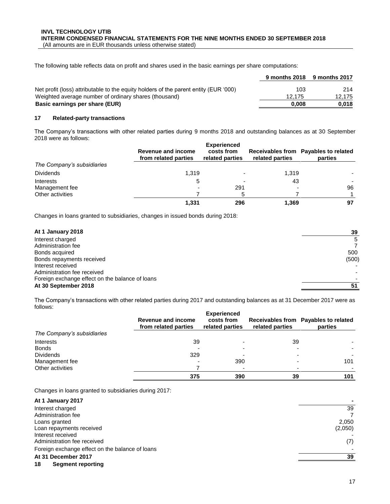The following table reflects data on profit and shares used in the basic earnings per share computations:

|                                                                                      |        | 9 months 2018 9 months 2017 |
|--------------------------------------------------------------------------------------|--------|-----------------------------|
| Net profit (loss) attributable to the equity holders of the parent entity (EUR '000) | 103    | 214                         |
| Weighted average number of ordinary shares (thousand)                                | 12.175 | 12.175                      |
| Basic earnings per share (EUR)                                                       | 0.008  | 0.018                       |

#### <span id="page-16-0"></span>**17 Related-party transactions**

The Company's transactions with other related parties during 9 months 2018 and outstanding balances as at 30 September 2018 were as follows:

|                            | Revenue and income<br>from related parties | <b>Experienced</b><br>costs from<br>related parties | related parties | Receivables from Payables to related<br>parties |
|----------------------------|--------------------------------------------|-----------------------------------------------------|-----------------|-------------------------------------------------|
| The Company's subsidiaries |                                            |                                                     |                 |                                                 |
| <b>Dividends</b>           | 1,319                                      |                                                     | 1.319           |                                                 |
| Interests                  | 5                                          |                                                     | 43              |                                                 |
| Management fee             |                                            | 291                                                 |                 | 96                                              |
| Other activities           |                                            | 5                                                   |                 |                                                 |
|                            | 1,331                                      | 296                                                 | 1,369           | 97                                              |

Changes in loans granted to subsidiaries, changes in issued bonds during 2018:

| At 1 January 2018                               | 39    |
|-------------------------------------------------|-------|
| Interest charged                                | 5     |
| Administration fee                              |       |
| Bonds acquired                                  | 500   |
| Bonds repayments received                       | (500) |
| Interest received                               |       |
| Administration fee received                     |       |
| Foreign exchange effect on the balance of loans |       |
| At 30 September 2018                            | 51    |
|                                                 |       |

The Company's transactions with other related parties during 2017 and outstanding balances as at 31 December 2017 were as follows:

|                            | Revenue and income<br>from related parties | <b>Experienced</b><br>costs from<br>related parties | related parties | Receivables from Payables to related<br>parties |
|----------------------------|--------------------------------------------|-----------------------------------------------------|-----------------|-------------------------------------------------|
| The Company's subsidiaries |                                            |                                                     |                 |                                                 |
| Interests                  | 39                                         |                                                     | 39              |                                                 |
| <b>Bonds</b>               |                                            |                                                     |                 |                                                 |
| <b>Dividends</b>           | 329                                        |                                                     |                 |                                                 |
| Management fee             |                                            | 390                                                 |                 | 101                                             |
| Other activities           |                                            |                                                     | -               |                                                 |
|                            | 375                                        | 390                                                 | 39              | 101                                             |

Changes in loans granted to subsidiaries during 2017:

<span id="page-16-1"></span>

| At 1 January 2017                               |         |
|-------------------------------------------------|---------|
| Interest charged                                | 39      |
| Administration fee                              | 7       |
| Loans granted                                   | 2,050   |
| Loan repayments received                        | (2,050) |
| Interest received                               |         |
| Administration fee received                     | (7)     |
| Foreign exchange effect on the balance of loans |         |
| At 31 December 2017                             | 39      |
| 18<br>Segment reporting                         |         |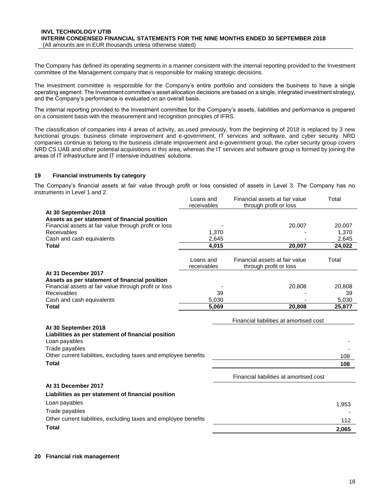The Company has defined its operating segments in a manner consistent with the internal reporting provided to the Investment committee of the Management company that is responsible for making strategic decisions.

The Investment committee is responsible for the Company's entire portfolio and considers the business to have a single operating segment. The Investment committee's asset allocation decisions are based on a single, integrated investment strategy, and the Company's performance is evaluated on an overall basis.

The internal reporting provided to the Investment committee for the Company's assets, liabilities and performance is prepared on a consistent basis with the measurement and recognition principles of IFRS.

The classification of companies into 4 areas of activity, as used previously, from the beginning of 2018 is replaced by 3 new functional groups: business climate improvement and e-government, IT services and software, and cyber security. NRD companies continue to belong to the business climate improvement and e-government group, the cyber security group covers NRD CS UAB and other potential acquisitions in this area, whereas the IT services and software group is formed by joining the areas of IT infrastructure and IT intensive industries' solutions.

#### <span id="page-17-0"></span>**19 Financial instruments by category**

The Company's financial assets at fair value through profit or loss consisted of assets in Level 3. The Company has no instruments in Level 1 and 2.

|                                                                                                        | Loans and<br>receivables | Financial assets at fair value<br>through profit or loss | Total  |
|--------------------------------------------------------------------------------------------------------|--------------------------|----------------------------------------------------------|--------|
| At 30 September 2018                                                                                   |                          |                                                          |        |
| Assets as per statement of financial position                                                          |                          |                                                          |        |
| Financial assets at fair value through profit or loss                                                  |                          | 20,007                                                   | 20,007 |
| Receivables                                                                                            | 1,370                    |                                                          | 1,370  |
| Cash and cash equivalents                                                                              | 2,645                    |                                                          | 2,645  |
| <b>Total</b>                                                                                           | 4,015                    | 20,007                                                   | 24,022 |
|                                                                                                        |                          |                                                          |        |
|                                                                                                        | Loans and                | Financial assets at fair value                           | Total  |
|                                                                                                        | receivables              | through profit or loss                                   |        |
| At 31 December 2017                                                                                    |                          |                                                          |        |
| Assets as per statement of financial position<br>Financial assets at fair value through profit or loss |                          | 20,808                                                   | 20,808 |
| Receivables                                                                                            | 39                       |                                                          | 39     |
| Cash and cash equivalents                                                                              | 5,030                    |                                                          | 5,030  |
| <b>Total</b>                                                                                           | 5.069                    | 20,808                                                   | 25,877 |
|                                                                                                        |                          |                                                          |        |
|                                                                                                        |                          | Financial liabilities at amortised cost                  |        |
| At 30 September 2018                                                                                   |                          |                                                          |        |
| Liabilities as per statement of financial position                                                     |                          |                                                          |        |
| Loan payables                                                                                          |                          |                                                          |        |
| Trade payables                                                                                         |                          |                                                          |        |
| Other current liabilities, excluding taxes and employee benefits                                       |                          |                                                          | 108    |
| <b>Total</b>                                                                                           |                          |                                                          | 108    |
|                                                                                                        |                          |                                                          |        |
|                                                                                                        |                          | Financial liabilities at amortised cost                  |        |
| At 31 December 2017                                                                                    |                          |                                                          |        |
| Liabilities as per statement of financial position                                                     |                          |                                                          |        |
| Loan payables                                                                                          |                          |                                                          | 1,953  |
| Trade payables                                                                                         |                          |                                                          |        |
| Other current liabilities, excluding taxes and employee benefits                                       |                          |                                                          |        |
|                                                                                                        |                          |                                                          | 112    |
| <b>Total</b>                                                                                           |                          |                                                          | 2,065  |

#### <span id="page-17-1"></span>**20 Financial risk management**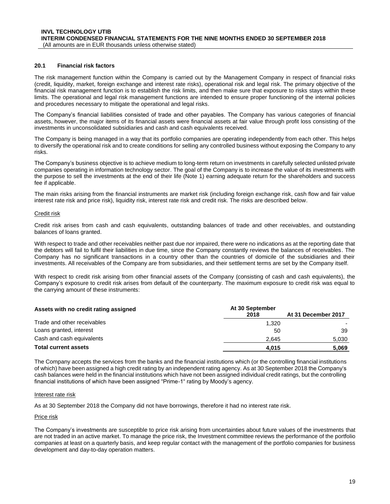#### **20.1 Financial risk factors**

The risk management function within the Company is carried out by the Management Company in respect of financial risks (credit, liquidity, market, foreign exchange and interest rate risks), operational risk and legal risk. The primary objective of the financial risk management function is to establish the risk limits, and then make sure that exposure to risks stays within these limits. The operational and legal risk management functions are intended to ensure proper functioning of the internal policies and procedures necessary to mitigate the operational and legal risks.

The Company's financial liabilities consisted of trade and other payables. The Company has various categories of financial assets, however, the major items of its financial assets were financial assets at fair value through profit loss consisting of the investments in unconsolidated subsidiaries and cash and cash equivalents received.

The Company is being managed in a way that its portfolio companies are operating independently from each other. This helps to diversify the operational risk and to create conditions for selling any controlled business without exposing the Company to any risks.

The Company's business objective is to achieve medium to long-term return on investments in carefully selected unlisted private companies operating in information technology sector. The goal of the Company is to increase the value of its investments with the purpose to sell the investments at the end of their life (Note [1\)](#page-7-1) earning adequate return for the shareholders and success fee if applicable.

The main risks arising from the financial instruments are market risk (including foreign exchange risk, cash flow and fair value interest rate risk and price risk), liquidity risk, interest rate risk and credit risk. The risks are described below.

#### Credit risk

Credit risk arises from cash and cash equivalents, outstanding balances of trade and other receivables, and outstanding balances of loans granted.

With respect to trade and other receivables neither past due nor impaired, there were no indications as at the reporting date that the debtors will fail to fulfil their liabilities in due time, since the Company constantly reviews the balances of receivables. The Company has no significant transactions in a country other than the countries of domicile of the subsidiaries and their investments. All receivables of the Company are from subsidiaries, and their settlement terms are set by the Company itself.

With respect to credit risk arising from other financial assets of the Company (consisting of cash and cash equivalents), the Company's exposure to credit risk arises from default of the counterparty. The maximum exposure to credit risk was equal to the carrying amount of these instruments:

| Assets with no credit rating assigned | At 30 September |                     |  |  |
|---------------------------------------|-----------------|---------------------|--|--|
|                                       | 2018            | At 31 December 2017 |  |  |
| Trade and other receivables           | 1.320           |                     |  |  |
| Loans granted, interest               | 50              | 39                  |  |  |
| Cash and cash equivalents             | 2.645           | 5,030               |  |  |
| <b>Total current assets</b>           | 4.015           | 5.069               |  |  |

The Company accepts the services from the banks and the financial institutions which (or the controlling financial institutions of which) have been assigned a high credit rating by an independent rating agency. As at 30 September 2018 the Company's cash balances were held in the financial institutions which have not been assigned individual credit ratings, but the controlling financial institutions of which have been assigned "Prime-1" rating by Moody's agency.

#### Interest rate risk

As at 30 September 2018 the Company did not have borrowings, therefore it had no interest rate risk.

#### Price risk

The Company's investments are susceptible to price risk arising from uncertainties about future values of the investments that are not traded in an active market. To manage the price risk, the Investment committee reviews the performance of the portfolio companies at least on a quarterly basis, and keep regular contact with the management of the portfolio companies for business development and day-to-day operation matters.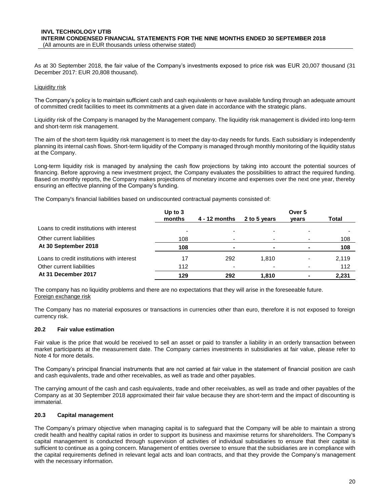As at 30 September 2018, the fair value of the Company's investments exposed to price risk was EUR 20,007 thousand (31 December 2017: EUR 20,808 thousand).

#### Liquidity risk

The Company's policy is to maintain sufficient cash and cash equivalents or have available funding through an adequate amount of committed credit facilities to meet its commitments at a given date in accordance with the strategic plans.

Liquidity risk of the Company is managed by the Management company. The liquidity risk management is divided into long-term and short-term risk management.

The aim of the short-term liquidity risk management is to meet the day-to-day needs for funds. Each subsidiary is independently planning its internal cash flows. Short-term liquidity of the Company is managed through monthly monitoring of the liquidity status at the Company.

Long-term liquidity risk is managed by analysing the cash flow projections by taking into account the potential sources of financing. Before approving a new investment project, the Company evaluates the possibilities to attract the required funding. Based on monthly reports, the Company makes projections of monetary income and expenses over the next one year, thereby ensuring an effective planning of the Company's funding.

The Company's financial liabilities based on undiscounted contractual payments consisted of:

|                                            | Up to $3$ |                          | Over 5       |       |       |
|--------------------------------------------|-----------|--------------------------|--------------|-------|-------|
|                                            | months    | 4 - 12 months            | 2 to 5 years | vears | Total |
| Loans to credit institutions with interest |           |                          |              |       |       |
| Other current liabilities                  | 108       | $\overline{\phantom{0}}$ |              |       | 108   |
| At 30 September 2018                       | 108       |                          |              |       | 108   |
| Loans to credit institutions with interest | 17        | 292                      | 1,810        |       | 2,119 |
| Other current liabilities                  | 112       |                          |              |       | 112   |
| At 31 December 2017                        | 129       | 292                      | 1.810        |       | 2,231 |

The company has no liquidity problems and there are no expectations that they will arise in the foreseeable future. Foreign exchange risk

The Company has no material exposures or transactions in currencies other than euro, therefore it is not exposed to foreign currency risk.

#### **20.2 Fair value estimation**

Fair value is the price that would be received to sell an asset or paid to transfer a liability in an orderly transaction between market participants at the measurement date. The Company carries investments in subsidiaries at fair value, please refer to Not[e 4](#page-9-1) for more details.

The Company's principal financial instruments that are not carried at fair value in the statement of financial position are cash and cash equivalents, trade and other receivables, as well as trade and other payables.

The carrying amount of the cash and cash equivalents, trade and other receivables, as well as trade and other payables of the Company as at 30 September 2018 approximated their fair value because they are short-term and the impact of discounting is immaterial.

#### **20.3 Capital management**

<span id="page-19-0"></span>The Company's primary objective when managing capital is to safeguard that the Company will be able to maintain a strong credit health and healthy capital ratios in order to support its business and maximise returns for shareholders. The Company's capital management is conducted through supervision of activities of individual subsidiaries to ensure that their capital is sufficient to continue as a going concern. Management of entities oversee to ensure that the subsidiaries are in compliance with the capital requirements defined in relevant legal acts and loan contracts, and that they provide the Company's management with the necessary information.